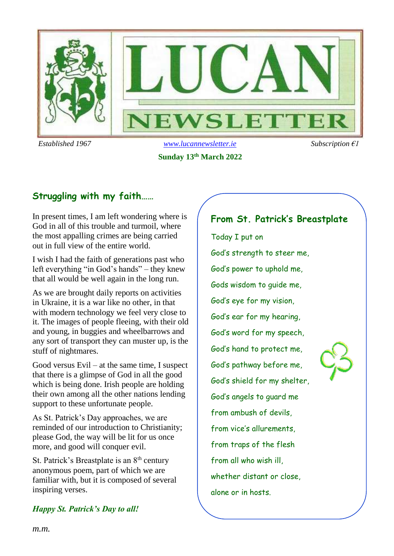

**Sunday 13th March 2022**

# **Struggling with my faith……**

In present times, I am left wondering where is God in all of this trouble and turmoil, where the most appalling crimes are being carried out in full view of the entire world.

I wish I had the faith of generations past who left everything "in God's hands" – they knew that all would be well again in the long run.

As we are brought daily reports on activities in Ukraine, it is a war like no other, in that with modern technology we feel very close to it. The images of people fleeing, with their old and young, in buggies and wheelbarrows and any sort of transport they can muster up, is the stuff of nightmares.

Good versus Evil – at the same time, I suspect that there is a glimpse of God in all the good which is being done. Irish people are holding their own among all the other nations lending support to these unfortunate people.

As St. Patrick's Day approaches, we are reminded of our introduction to Christianity; please God, the way will be lit for us once more, and good will conquer evil.

St. Patrick's Breastplate is an  $8<sup>th</sup>$  century anonymous poem, part of which we are familiar with, but it is composed of several inspiring verses.

### *Happy St. Patrick's Day to all!*

# **From St. Patrick's Breastplate**

Today I put on God's strength to steer me, God's power to uphold me, Gods wisdom to guide me, God's eye for my vision, God's ear for my hearing, God's word for my speech, God's hand to protect me, God's pathway before me, God's shield for my shelter, God's angels to guard me from ambush of devils, from vice's allurements, from traps of the flesh from all who wish ill, whether distant or close, alone or in hosts.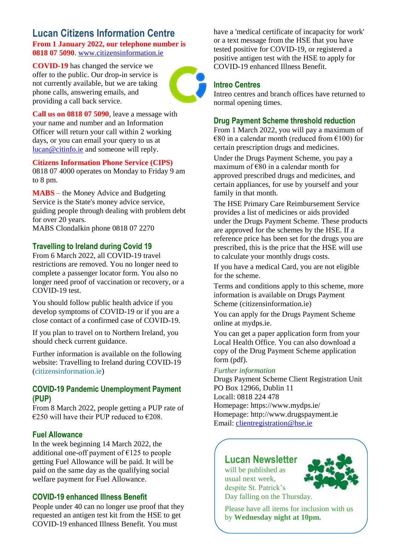### **Lucan Citizens Information Centre From 1 January 2022, our telephone number is 0818 07 5090**[. www.citizensinformation.ie](http://www.citizensinformation.ie/)

**COVID-19** has changed the service we offer to the public. Our drop-in service is not currently available, but we are taking phone calls, answering emails, and providing a call back service.



**Call us on 0818 07 5090**, leave a message with your name and number and an Information Officer will return your call within 2 working days, or you can email your query to us at [lucan@citinfo.ie](mailto:lucan@citinfo.ie) and someone will reply.

#### **Citizens Information Phone Service (CIPS)**

0818 07 4000 operates on Monday to Friday 9 am to 8 pm.

**MABS** – the Money Advice and Budgeting Service is the State's money advice service, guiding people through dealing with problem debt for over 20 years.

MABS Clondalkin phone 0818 07 2270

### **Travelling to Ireland during Covid 19**

From 6 March 2022, all COVID-19 travel restrictions are removed. You no longer need to complete a passenger locator form. You also no longer need proof of vaccination or recovery, or a COVID-19 test.

You should follow public health advice if you develop symptoms of COVID-19 or if you are a close contact of a confirmed case of COVID-19.

If you plan to travel on to Northern Ireland, you should check current guidance.

Further information is available on the following website: Travelling to Ireland during COVID-19 (citizensinformation.ie)

### **COVID-19 Pandemic Unemployment Payment (PUP)**

From 8 March 2022, people getting a PUP rate of €250 will have their PUP reduced to €208.

### **Fuel Allowance**

In the week beginning 14 March 2022, the additional one-off payment of  $E125$  to people getting Fuel Allowance will be paid. It will be paid on the same day as the qualifying social welfare payment for Fuel Allowance.

### **COVID-19 enhanced Illness Benefit**

People under 40 can no longer use proof that they requested an antigen test kit from the HSE to get COVID-19 enhanced Illness Benefit. You must

have a 'medical certificate of incapacity for work' or a text message from the HSE that you have tested positive for COVID-19, or registered a positive antigen test with the HSE to apply for COVID-19 enhanced Illness Benefit.

### **Intreo Centres**

Intreo centres and branch offices have returned to normal opening times.

### **Drug Payment Scheme threshold reduction**

From 1 March 2022, you will pay a maximum of  $€80$  in a calendar month (reduced from  $€100$ ) for certain prescription drugs and medicines.

Under the Drugs Payment Scheme, you pay a maximum of €80 in a calendar month for approved prescribed drugs and medicines, and certain appliances, for use by yourself and your family in that month.

The HSE Primary Care Reimbursement Service provides a list of medicines or aids provided under the Drugs Payment Scheme. These products are approved for the schemes by the HSE. If a reference price has been set for the drugs you are prescribed, this is the price that the HSE will use to calculate your monthly drugs costs.

If you have a medical Card, you are not eligible for the scheme.

Terms and conditions apply to this scheme, more information is available on Drugs Payment Scheme (citizensinformation.ie)

You can apply for the Drugs Payment Scheme online at mydps.ie.

You can get a paper application form from your Local Health Office. You can also download a copy of the Drug Payment Scheme application form (pdf).

#### *Further information*

Drugs Payment Scheme Client Registration Unit PO Box 12966, Dublin 11 Locall: 0818 224 478 Homepage: https://www.mydps.ie/ Homepage: http://www.drugspayment.ie Email: [clientregistration@hse.ie](mailto:clientregistration@hse.ie)

### **Lucan Newsletter**

will be published as usual next week, despite St. Patrick's Day falling on the Thursday.



Please have all items for inclusion with us by **Wednesday night at 10pm.**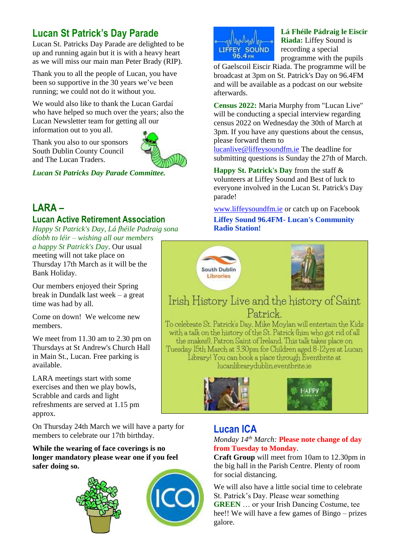# **Lucan St Patrick's Day Parade**

Lucan St. Patricks Day Parade are delighted to be up and running again but it is with a heavy heart as we will miss our main man Peter Brady (RIP).

Thank you to all the people of Lucan, you have been so supportive in the 30 years we've been running; we could not do it without you.

We would also like to thank the Lucan Gardaí who have helped so much over the years; also the Lucan Newsletter team for getting all our information out to you all.

Thank you also to our sponsors South Dublin County Council and The Lucan Traders.



*Lucan St Patricks Day Parade Committee.*

# **LARA –**

### **Lucan Active Retirement Association**

*Happy St Patrick's Day, Lá fhéile Padraig sona díobh to léir – wishing all our members* 

*a happy St Patrick's Day*. Our usual meeting will not take place on Thursday 17th March as it will be the Bank Holiday.

Our members enjoyed their Spring break in Dundalk last week – a great time was had by all.

Come on down! We welcome new members.

We meet from 11.30 am to 2.30 pm on Thursdays at St Andrew's Church Hall in Main St., Lucan. Free parking is available.

LARA meetings start with some exercises and then we play bowls, Scrabble and cards and light refreshments are served at 1.15 pm approx.

On Thursday 24th March we will have a party for members to celebrate our 17th birthday.

### **While the wearing of face coverings is no longer mandatory please wear one if you feel safer doing so.**





**Lá Fhéile Pádraig le Eiscir Riada:** Liffey Sound is recording a special programme with the pupils

of Gaelscoil Eiscir Riada. The programme will be broadcast at 3pm on St. Patrick's Day on 96.4FM and will be available as a podcast on our website afterwards.

**Census 2022:** Maria Murphy from "Lucan Live" will be conducting a special interview regarding census 2022 on Wednesday the 30th of March at 3pm. If you have any questions about the census, please forward them to

[lucanlive@liffeysoundfm.ie](mailto:lucanlive@liffeysoundfm.ie) The deadline for submitting questions is Sunday the 27th of March.

**Happy St. Patrick's Day** from the staff & volunteers at Liffey Sound and Best of luck to everyone involved in the Lucan St. Patrick's Day parade!

[www.liffeysoundfm.ie](http://www.liffeysoundfm.ie/) or catch up on Facebook **Liffey Sound 96.4FM- Lucan's Community Radio Station!** 





# Irish History Live and the history of Saint Patrick

To celebrate St. Patrick's Day, Mike Moylan will entertain the Kids with a talk on the history of the St. Patrick (him who got rid of all the snakes!), Patron Saint of Ireland. This talk takes place on Tuesday 15th March at 3.30pm for Children aged 8-12yrs at Lucan Library! You can book a place through Eventbrite at lucanlibrarydublin.eventbrite.ie





### **Lucan ICA**

### *Monday 14th March:* **Please note change of day from Tuesday to Monday**.

**Craft Group** will meet from 10am to 12.30pm in the big hall in the Parish Centre. Plenty of room for social distancing.

We will also have a little social time to celebrate St. Patrick's Day. Please wear something **GREEN** … or your Irish Dancing Costume, tee hee!! We will have a few games of Bingo – prizes galore.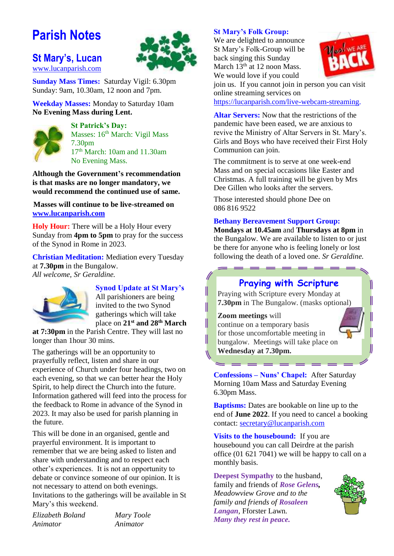# **Parish Notes**

### **St Mary's, Lucan**  [www.lucanparish.com](http://www.lucanparish.com/)



**Sunday Mass Times:** Saturday Vigil: 6.30pm Sunday: 9am, 10.30am, 12 noon and 7pm.

**Weekday Masses:** Monday to Saturday 10am **No Evening Mass during Lent.**



**St Patrick's Day:** Masses: 16<sup>th</sup> March: Vigil Mass 7.30pm 17th March: 10am and 11.30am No Evening Mass.

**Although the Government's recommendation is that masks are no longer mandatory, we would recommend the continued use of same.**

**Masses will continue to be live-streamed on [www.lucanparish.com](http://www.lucanparish.com/)**

**Holy Hour:** There will be a Holy Hour every Sunday from **4pm to 5pm** to pray for the success of the Synod in Rome in 2023.

**Christian Meditation:** Mediation every Tuesday at **7.30pm** in the Bungalow. *All welcome, Sr Geraldine.*



### **Synod Update at St Mary's**

All parishioners are being invited to the two Synod gatherings which will take place on **21st and 28th March** 

**at 7:30pm** in the Parish Centre. They will last no longer than 1hour 30 mins.

The gatherings will be an opportunity to prayerfully reflect, listen and share in our experience of Church under four headings, two on each evening, so that we can better hear the Holy Spirit, to help direct the Church into the future. Information gathered will feed into the process for the feedback to Rome in advance of the Synod in 2023. It may also be used for parish planning in the future.

This will be done in an organised, gentle and prayerful environment. It is important to remember that we are being asked to listen and share with understanding and to respect each other's experiences. It is not an opportunity to debate or convince someone of our opinion. It is not necessary to attend on both evenings. Invitations to the gatherings will be available in St Mary's this weekend.

*Elizabeth Boland Mary Toole Animator Animator*

### **St Mary's Folk Group:**

We are delighted to announce St Mary's Folk-Group will be back singing this Sunday March  $13<sup>th</sup>$  at 12 noon Mass. We would love if you could



join us. If you cannot join in person you can visit online streaming services on

[https://lucanparish.com/live-webcam-streaming.](https://lucanparish.com/live-webcam-streaming)

**Altar Servers:** Now that the restrictions of the pandemic have been eased, we are anxious to revive the Ministry of Altar Servers in St. Mary's. Girls and Boys who have received their First Holy Communion can join.

The commitment is to serve at one week-end Mass and on special occasions like Easter and Christmas. A full training will be given by Mrs Dee Gillen who looks after the servers.

Those interested should phone Dee on 086 816 9522

### **Bethany Bereavement Support Group:**

**Mondays at 10.45am** and **Thursdays at 8pm** in the Bungalow. We are available to listen to or just be there for anyone who is feeling lonely or lost following the death of a loved one. *Sr Geraldine.* 

### **Praying with Scripture**

Praying with Scripture every Monday at **7.30pm** in The Bungalow. (masks optional)

### **Zoom meetings** will



**Confessions – Nuns' Chapel:** After Saturday Morning 10am Mass and Saturday Evening 6.30pm Mass.

**Baptisms:** Dates are bookable on line up to the end of **June 2022**. If you need to cancel a booking contact: [secretary@lucanparish.com](mailto:secretary@lucanparish.com?subject=Cancellation%20of%20Baptism%20Booking&body=Dear%20Secretary%2C%0AI%20wish%20to%20cancel%20the%20booking%20made%20for%20baby%3A%0Aon%20date%3A%0AThank%20You)

**Visits to the housebound:** If you are housebound you can call Deirdre at the parish office (01 621 7041) we will be happy to call on a monthly basis.

**Deepest Sympathy** to the husband, family and friends of *Rose Gelens, Meadowview Grove and to the family and friends of Rosaleen Langan,* Fforster Lawn. *Many they rest in peace.* 

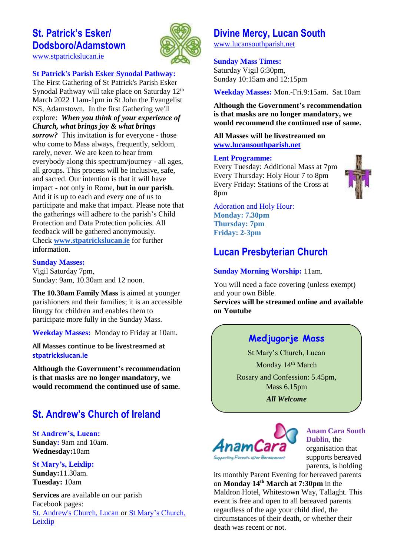# **St. Patrick's Esker/ Dodsboro/Adamstown**



[www.stpatrickslucan.ie](http://www.stpatrickslucan.ie/)

### **St Patrick's Parish Esker Synodal Pathway:**

The First Gathering of St Patrick's Parish Esker Synodal Pathway will take place on Saturday 12<sup>th</sup> March 2022 11am-1pm in St John the Evangelist NS, Adamstown. In the first Gathering we'll explore: *When you think of your experience of Church, what brings joy & what brings sorrow?* This invitation is for everyone - those who come to Mass always, frequently, seldom, rarely, never. We are keen to hear from everybody along this spectrum/journey - all ages, all groups. This process will be inclusive, safe, and sacred. Our intention is that it will have impact - not only in Rome, **but in our parish**. And it is up to each and every one of us to participate and make that impact. Please note that the gatherings will adhere to the parish's Child Protection and Data Protection policies. All feedback will be gathered anonymously. Check **[www.stpatrickslucan.ie](http://www.stpatrickslucan.ie/)** for further information.

### **Sunday Masses:**

Vigil Saturday 7pm, Sunday: 9am, 10.30am and 12 noon.

**The 10.30am Family Mass** is aimed at younger parishioners and their families; it is an accessible liturgy for children and enables them to participate more fully in the Sunday Mass.

**Weekday Masses:** Monday to Friday at 10am.

**All Masses continue to be livestreamed at stpatrickslucan.ie**

**Although the Government's recommendation is that masks are no longer mandatory, we would recommend the continued use of same.**

# **St. Andrew's Church of Ireland**

**St Andrew's, Lucan: Sunday:** 9am and 10am. **Wednesday:**10am

### **St Mary's, Leixlip:**

**Sunday:**11.30am. **Tuesday:** 10am

**Services** are available on our parish Facebook pages: [St. Andrew's Church, Lucan](https://www.facebook.com/standrewslucan/) or [St Mary's Church,](https://www.facebook.com/stmarysleixlip/)  [Leixlip](https://www.facebook.com/stmarysleixlip/)

# **Divine Mercy, Lucan South**

[www.lucansouthparish.net](http://www.lucansouthparish.net/)

### **Sunday Mass Times:**

Saturday Vigil 6:30pm, Sunday 10:15am and 12:15pm

**Weekday Masses:** Mon.-Fri.9:15am. Sat.10am

**Although the Government's recommendation is that masks are no longer mandatory, we would recommend the continued use of same.**

**All Masses will be livestreamed on [www.lucansouthparish.net](http://www.lucansouthparish.net/)**

### **Lent Programme:**

Every Tuesday: Additional Mass at 7pm Every Thursday: Holy Hour 7 to 8pm Every Friday: Stations of the Cross at 8pm



Adoration and Holy Hour: **Monday: 7.30pm Thursday: 7pm Friday: 2-3pm**

# **Lucan Presbyterian Church**

### **Sunday Morning Worship:** 11am.

You will need a face covering (unless exempt) and your own Bible. **Services will be streamed online and available on Youtube**

# **Medjugorje Mass**

St Mary's Church, Lucan Monday 14<sup>th</sup> March Rosary and Confession: 5.45pm, Mass 6.15pm

*All Welcome*



**Anam Cara South Dublin**, the organisation that supports bereaved parents, is holding

its monthly Parent Evening for bereaved parents on **Monday 14th March at 7:30pm** in the Maldron Hotel, Whitestown Way, Tallaght. This event is free and open to all bereaved parents regardless of the age your child died, the circumstances of their death, or whether their death was recent or not.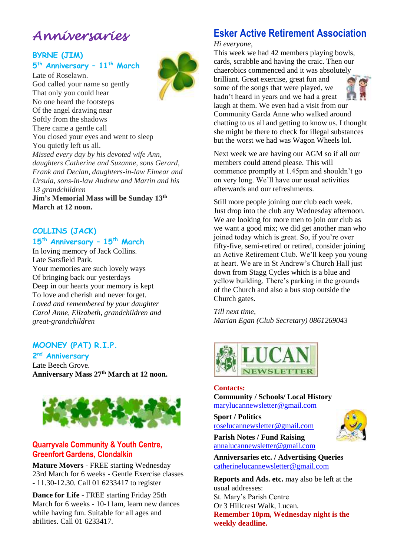# *Anniversaries*

### **BYRNE (JIM)**

### **5 th Anniversary – 11th March**

Late of Roselawn. God called your name so gently That only you could hear No one heard the footsteps Of the angel drawing near Softly from the shadows There came a gentle call You closed your eyes and went to sleep You quietly left us all. *Missed every day by his devoted wife Ann, daughters Catherine and Suzanne, sons Gerard, Frank and Declan, daughters-in-law Eimear and Ursula, sons-in-law Andrew and Martin and his 13 grandchildren*

**Jim's Memorial Mass will be Sunday 13th March at 12 noon.**

# **COLLINS (JACK)**

### **15th Anniversary – 15th March** In loving memory of Jack Collins.

Late Sarsfield Park. Your memories are such lovely ways Of bringing back our yesterdays Deep in our hearts your memory is kept To love and cherish and never forget. *Loved and remembered by your daughter Carol Anne, Elizabeth, grandchildren and great-grandchildren*

### **MOONEY (PAT) R.I.P.**

**2 nd Anniversary** Late Beech Grove. **Anniversary Mass 27th March at 12 noon.**



### **Quarryvale Community & Youth Centre, Greenfort Gardens, Clondalkin**

**Mature Movers** - FREE starting Wednesday 23rd March for 6 weeks - Gentle Exercise classes - 11.30-12.30. Call 01 6233417 to register

**Dance for Life** - FREE starting Friday 25th March for 6 weeks - 10-11am, learn new dances while having fun. Suitable for all ages and abilities. Call 01 6233417.

# **Esker Active Retirement Association**

*Hi everyone,* 

This week we had 42 members playing bowls, cards, scrabble and having the craic. Then our chaerobics commenced and it was absolutely brilliant. Great exercise, great fun and some of the songs that were played, we hadn't heard in years and we had a great laugh at them. We even had a visit from our Community Garda Anne who walked around chatting to us all and getting to know us. I thought she might be there to check for illegal substances but the worst we had was Wagon Wheels lol.

Next week we are having our AGM so if all our members could attend please. This will commence promptly at 1.45pm and shouldn't go on very long. We'll have our usual activities afterwards and our refreshments.

Still more people joining our club each week. Just drop into the club any Wednesday afternoon. We are looking for more men to join our club as we want a good mix; we did get another man who joined today which is great. So, if you're over fifty-five, semi-retired or retired, consider joining an Active Retirement Club. We'll keep you young at heart. We are in St Andrew's Church Hall just down from Stagg Cycles which is a blue and yellow building. There's parking in the grounds of the Church and also a bus stop outside the Church gates.

*Till next time, Marian Egan (Club Secretary) 0861269043*



### **Contacts:**

**Community / Schools/ Local History**  [marylucannewsletter@gmail.com](mailto:marylucannewsletter@gmail.com) 

**Sport / Politics** [roselucannewsletter@gmail.com](mailto:roselucannewsletter@gmail.com)



**Parish Notes / Fund Raising** [annalucannewsletter@gmail.com](mailto:annalucannewsletter@gmail.com)

**Anniversaries etc. / Advertising Queries**  [catherinelucannewsletter@gmail.com](mailto:catherinelucannewsletter@gmail.com)

**Reports and Ads. etc.** may also be left at the usual addresses: St. Mary's Parish Centre Or 3 Hillcrest Walk, Lucan. **Remember 10pm, Wednesday night is the weekly deadline.**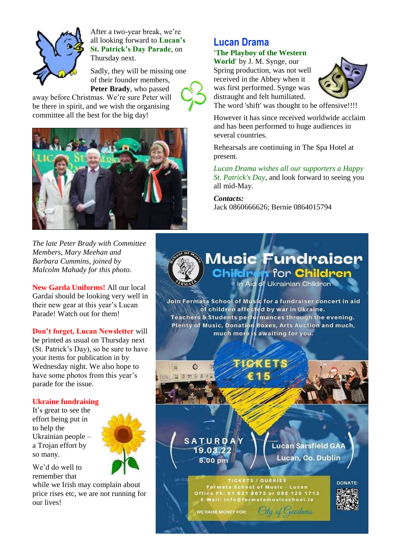

After a two-year break, we're all looking forward to **Lucan's St. Patrick's Day Parade**, on Thursday next.

Sadly, they will be missing one of their founder members, **Peter Brady**, who passed

away before Christmas. We're sure Peter will be there in spirit, and we wish the organising committee all the best for the big day!



*The late Peter Brady with Committee Members, Mary Meehan and Barbara Cummins, joined by Malcolm Mahady for this photo.* 

**New Garda Uniforms!** All our local Gardaí should be looking very well in their new gear at this year's Lucan Parade! Watch out for them!

**Don't forget, Lucan Newsletter** will be printed as usual on Thursday next (St. Patrick's Day), so be sure to have your items for publication in by Wednesday night. We also hope to have some photos from this year's parade for the issue.

### **Ukraine fundraising**

It's great to see the effort being put in to help the Ukrainian people – a Trojan effort by so many.



We'd do well to remember that

while we Irish may complain about price rises etc, we are not running for our lives!

# **Lucan Drama**

### **'The Playboy of the Western**

**World'** by J. M. Synge, our Spring production, was not well received in the Abbey when it was first performed. Synge was distraught and felt humiliated.



The word 'shift' was thought to be offensive!!!!

However it has since received worldwide acclaim and has been performed to huge audiences in several countries.

Rehearsals are continuing in The Spa Hotel at present.

*Lucan Drama wishes all our supporters a Happy St. Patrick's Day*, and look forward to seeing you all mid-May.

*Contacts:*

Jack 0860666626; Bernie 0864015794

## **Music Fundraiser Childre n** for **Children**

In Aid of Ukrainian Children

Join Fermata School of Music for a fundraiser concert in aid of children affected by war in Ukraine. Teachers & Students performances through the evening. Plenty of Music, Donation Boxes, Arts Auction and much,<br>much more is awaiting for you.

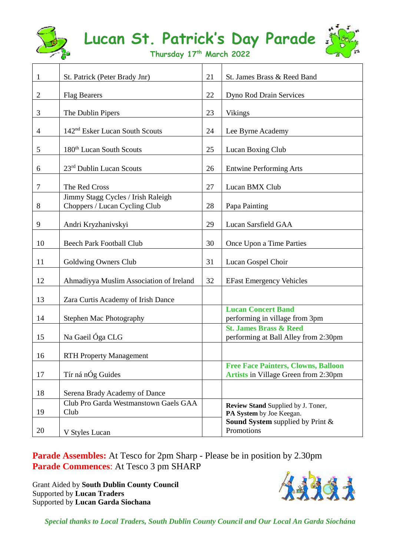

# **Lucan St. Patrick's Day Parade**



**Thursday 17th March 2022**

┱

┱

| 1              | St. Patrick (Peter Brady Jnr)                                       | 21 | St. James Brass & Reed Band                                                               |
|----------------|---------------------------------------------------------------------|----|-------------------------------------------------------------------------------------------|
| 2              | <b>Flag Bearers</b>                                                 | 22 | Dyno Rod Drain Services                                                                   |
| 3              | The Dublin Pipers                                                   | 23 | <b>Vikings</b>                                                                            |
| $\overline{4}$ | 142 <sup>nd</sup> Esker Lucan South Scouts                          | 24 | Lee Byrne Academy                                                                         |
| 5              | 180 <sup>th</sup> Lucan South Scouts                                | 25 | Lucan Boxing Club                                                                         |
| 6              | 23rd Dublin Lucan Scouts                                            | 26 | <b>Entwine Performing Arts</b>                                                            |
| $\tau$         | The Red Cross                                                       | 27 | Lucan BMX Club                                                                            |
| 8              | Jimmy Stagg Cycles / Irish Raleigh<br>Choppers / Lucan Cycling Club | 28 | Papa Painting                                                                             |
| 9              | Andri Kryzhanivskyi                                                 | 29 | Lucan Sarsfield GAA                                                                       |
| 10             | <b>Beech Park Football Club</b>                                     | 30 | Once Upon a Time Parties                                                                  |
| 11             | Goldwing Owners Club                                                | 31 | Lucan Gospel Choir                                                                        |
| 12             | Ahmadiyya Muslim Association of Ireland                             | 32 | <b>EFast Emergency Vehicles</b>                                                           |
| 13             | Zara Curtis Academy of Irish Dance                                  |    |                                                                                           |
| 14             | Stephen Mac Photography                                             |    | <b>Lucan Concert Band</b><br>performing in village from 3pm                               |
| 15             | Na Gaeil Óga CLG                                                    |    | <b>St. James Brass &amp; Reed</b><br>performing at Ball Alley from 2:30pm                 |
| 16             | <b>RTH Property Management</b>                                      |    |                                                                                           |
| 17             | Tír ná nÓg Guides                                                   |    | <b>Free Face Painters, Clowns, Balloon</b><br><b>Artists in Village Green from 2:30pm</b> |
| 18             | Serena Brady Academy of Dance                                       |    |                                                                                           |
| 19             | Club Pro Garda Westmanstown Gaels GAA<br>Club                       |    | Review Stand Supplied by J. Toner,<br>PA System by Joe Keegan.                            |
| 20             | V Styles Lucan                                                      |    | Sound System supplied by Print &<br>Promotions                                            |

**Parade Assembles:** At Tesco for 2pm Sharp - Please be in position by 2.30pm **Parade Commences**: At Tesco 3 pm SHARP

Grant Aided by **South Dublin County Council** Supported by **Lucan Traders** Supported by **Lucan Garda Siochana**



*Special thanks to Local Traders, South Dublin County Council and Our Local An Garda Síochána*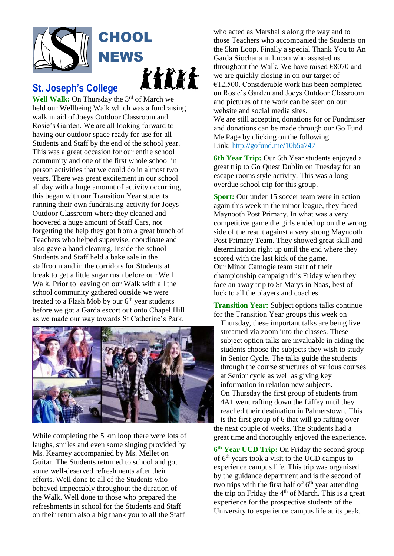

# **St. Joseph's College**

**Well Walk:** On Thursday the 3<sup>rd</sup> of March we held our Wellbeing Walk which was a fundraising walk in aid of Joeys Outdoor Classroom and Rosie's Garden. We are all looking forward to having our outdoor space ready for use for all Students and Staff by the end of the school year. This was a great occasion for our entire school community and one of the first whole school in person activities that we could do in almost two years. There was great excitement in our school all day with a huge amount of activity occurring, this began with our Transition Year students running their own fundraising-activity for Joeys Outdoor Classroom where they cleaned and hoovered a huge amount of Staff Cars, not forgetting the help they got from a great bunch of Teachers who helped supervise, coordinate and also gave a hand cleaning. Inside the school Students and Staff held a bake sale in the staffroom and in the corridors for Students at break to get a little sugar rush before our Well Walk. Prior to leaving on our Walk with all the school community gathered outside we were treated to a Flash Mob by our  $6<sup>th</sup>$  year students before we got a Garda escort out onto Chapel Hill as we made our way towards St Catherine's Park.



While completing the 5 km loop there were lots of laughs, smiles and even some singing provided by Ms. Kearney accompanied by Ms. Mellet on Guitar. The Students returned to school and got some well-deserved refreshments after their efforts. Well done to all of the Students who behaved impeccably throughout the duration of the Walk. Well done to those who prepared the refreshments in school for the Students and Staff on their return also a big thank you to all the Staff

who acted as Marshalls along the way and to those Teachers who accompanied the Students on the 5km Loop. Finally a special Thank You to An Garda Siochana in Lucan who assisted us throughout the Walk. We have raised  $\epsilon$ 8070 and we are quickly closing in on our target of €12,500. Considerable work has been completed on Rosie's Garden and Joeys Outdoor Classroom and pictures of the work can be seen on our website and social media sites.

We are still accepting donations for or Fundraiser and donations can be made through our Go Fund Me Page by clicking on the following Link: [http://gofund.me/10b5a747](https://t.co/kGxtgf5xQD)

**6th Year Trip:** Our 6th Year students enjoyed a great trip to Go Quest Dublin on Tuesday for an escape rooms style activity. This was a long overdue school trip for this group.

**Sport:** Our under 15 soccer team were in action again this week in the minor league, they faced Maynooth Post Primary. In what was a very competitive game the girls ended up on the wrong side of the result against a very strong Maynooth Post Primary Team. They showed great skill and determination right up until the end where they scored with the last kick of the game. Our Minor Camogie team start of their championship campaign this Friday when they face an away trip to St Marys in Naas, best of luck to all the players and coaches.

**Transition Year:** Subject options talks continue for the Transition Year groups this week on

Thursday, these important talks are being live streamed via zoom into the classes. These subject option talks are invaluable in aiding the students choose the subjects they wish to study in Senior Cycle. The talks guide the students through the course structures of various courses at Senior cycle as well as giving key information in relation new subjects. On Thursday the first group of students from 4A1 went rafting down the Liffey until they reached their destination in Palmerstown. This is the first group of 6 that will go rafting over

the next couple of weeks. The Students had a great time and thoroughly enjoyed the experience.

**6 th Year UCD Trip:** On Friday the second group of 6th years took a visit to the UCD campus to experience campus life. This trip was organised by the guidance department and is the second of two trips with the first half of  $6<sup>th</sup>$  year attending the trip on Friday the  $4<sup>th</sup>$  of March. This is a great experience for the prospective students of the University to experience campus life at its peak.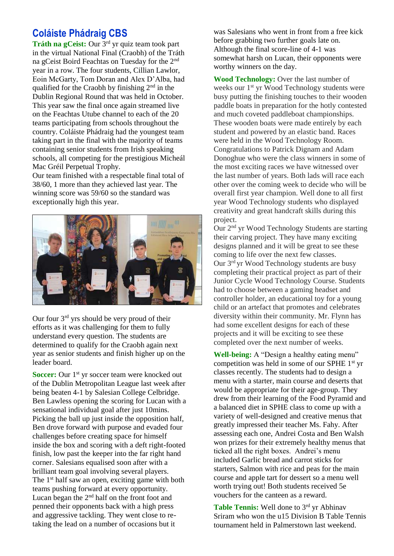# **Coláiste Phádraig CBS**

**Tráth na gCeist:** Our 3rd yr quiz team took part in the virtual National Final (Craobh) of the Tráth na gCeist Boird Feachtas on Tuesday for the 2nd year in a row. The four students, Cillian Lawlor, Eoin McGarty, Tom Doran and Alex D'Alba, had qualified for the Craobh by finishing  $2<sup>nd</sup>$  in the Dublin Regional Round that was held in October. This year saw the final once again streamed live on the Feachtas Utube channel to each of the 20 teams participating from schools throughout the country. Coláiste Phádraig had the youngest team taking part in the final with the majority of teams containing senior students from Irish speaking schools, all competing for the prestigious Micheál Mac Gréil Perpetual Trophy.

Our team finished with a respectable final total of 38/60, 1 more than they achieved last year. The winning score was 59/60 so the standard was exceptionally high this year.



Our four 3rd yrs should be very proud of their efforts as it was challenging for them to fully understand every question. The students are determined to qualify for the Craobh again next year as senior students and finish higher up on the leader board.

**Soccer:** Our 1<sup>st</sup> yr soccer team were knocked out of the Dublin Metropolitan League last week after being beaten 4-1 by Salesian College Celbridge. Ben Lawless opening the scoring for Lucan with a sensational individual goal after just 10mins. Picking the ball up just inside the opposition half, Ben drove forward with purpose and evaded four challenges before creating space for himself inside the box and scoring with a deft right-footed finish, low past the keeper into the far right hand corner. Salesians equalised soon after with a brilliant team goal involving several players. The  $1<sup>st</sup>$  half saw an open, exciting game with both teams pushing forward at every opportunity. Lucan began the  $2<sup>nd</sup>$  half on the front foot and penned their opponents back with a high press and aggressive tackling. They went close to retaking the lead on a number of occasions but it

was Salesians who went in front from a free kick before grabbing two further goals late on. Although the final score-line of 4-1 was somewhat harsh on Lucan, their opponents were worthy winners on the day.

**Wood Technology:** Over the last number of weeks our 1<sup>st</sup> yr Wood Technology students were busy putting the finishing touches to their wooden paddle boats in preparation for the hotly contested and much coveted paddleboat championships. These wooden boats were made entirely by each student and powered by an elastic band. Races were held in the Wood Technology Room. Congratulations to Patrick Dignam and Adam Donoghue who were the class winners in some of the most exciting races we have witnessed over the last number of years. Both lads will race each other over the coming week to decide who will be overall first year champion. Well done to all first year Wood Technology students who displayed creativity and great handcraft skills during this project.

Our 2nd yr Wood Technology Students are starting their carving project. They have many exciting designs planned and it will be great to see these coming to life over the next few classes. Our 3rd yr Wood Technology students are busy completing their practical project as part of their Junior Cycle Wood Technology Course. Students had to choose between a gaming headset and controller holder, an educational toy for a young child or an artefact that promotes and celebrates diversity within their community. Mr. Flynn has had some excellent designs for each of these projects and it will be exciting to see these completed over the next number of weeks.

**Well-being:** A "Design a healthy eating menu" competition was held in some of our SPHE 1st yr classes recently. The students had to design a menu with a starter, main course and deserts that would be appropriate for their age-group. They drew from their learning of the Food Pyramid and a balanced diet in SPHE class to come up with a variety of well-designed and creative menus that greatly impressed their teacher Ms. Fahy. After assessing each one, Andrei Costa and Ben Walsh won prizes for their extremely healthy menus that ticked all the right boxes. Andrei's menu included Garlic bread and carrot sticks for starters, Salmon with rice and peas for the main course and apple tart for dessert so a menu well worth trying out! Both students received 5e vouchers for the canteen as a reward.

Table Tennis: Well done to 3<sup>rd</sup> yr Abhinav Sriram who won the u15 Division B Table Tennis tournament held in Palmerstown last weekend.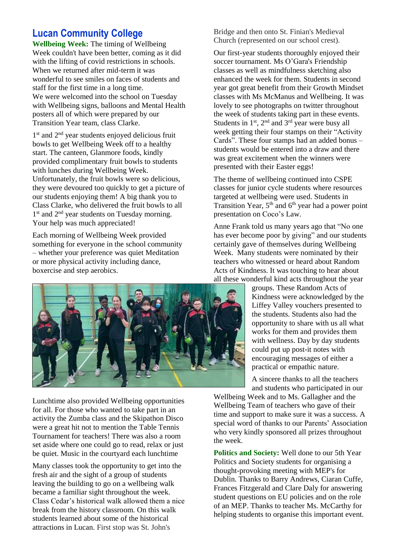# **Lucan Community College**

**Wellbeing Week:** The timing of Wellbeing Week couldn't have been better, coming as it did with the lifting of covid restrictions in schools. When we returned after mid-term it was wonderful to see smiles on faces of students and staff for the first time in a long time. We were welcomed into the school on Tuesday with Wellbeing signs, balloons and Mental Health posters all of which were prepared by our Transition Year team, class Clarke.

1 st and 2nd year students enjoyed delicious fruit bowls to get Wellbeing Week off to a healthy start. The canteen, Glanmore foods, kindly provided complimentary fruit bowls to students with lunches during Wellbeing Week. Unfortunately, the fruit bowls were so delicious, they were devoured too quickly to get a picture of our students enjoying them! A big thank you to Class Clarke, who delivered the fruit bowls to all 1 st and 2nd year students on Tuesday morning. Your help was much appreciated!

Each morning of Wellbeing Week provided something for everyone in the school community – whether your preference was quiet Meditation or more physical activity including dance, boxercise and step aerobics.



Lunchtime also provided Wellbeing opportunities for all. For those who wanted to take part in an activity the Zumba class and the Skipathon Disco were a great hit not to mention the Table Tennis Tournament for teachers! There was also a room set aside where one could go to read, relax or just be quiet. Music in the courtyard each lunchtime

Many classes took the opportunity to get into the fresh air and the sight of a group of students leaving the building to go on a wellbeing walk became a familiar sight throughout the week. Class Cedar's historical walk allowed them a nice break from the history classroom. On this walk students learned about some of the historical attractions in Lucan. First stop was St. John's

Bridge and then onto St. Finian's Medieval Church (represented on our school crest).

Our first-year students thoroughly enjoyed their soccer tournament. Ms O'Gara's Friendship classes as well as mindfulness sketching also enhanced the week for them. Students in second year got great benefit from their Growth Mindset classes with Ms McManus and Wellbeing. It was lovely to see photographs on twitter throughout the week of students taking part in these events. Students in  $1<sup>st</sup>$ ,  $2<sup>nd</sup>$  and  $3<sup>rd</sup>$  year were busy all week getting their four stamps on their "Activity Cards". These four stamps had an added bonus – students would be entered into a draw and there was great excitement when the winners were presented with their Easter eggs!

The theme of wellbeing continued into CSPE classes for junior cycle students where resources targeted at wellbeing were used. Students in Transition Year, 5<sup>th</sup> and 6<sup>th</sup> year had a power point presentation on Coco's Law.

Anne Frank told us many years ago that "No one has ever become poor by giving" and our students certainly gave of themselves during Wellbeing Week. Many students were nominated by their teachers who witnessed or heard about Random Acts of Kindness. It was touching to hear about all these wonderful kind acts throughout the year

groups. These Random Acts of Kindness were acknowledged by the Liffey Valley vouchers presented to the students. Students also had the opportunity to share with us all what works for them and provides them with wellness. Day by day students could put up post-it notes with encouraging messages of either a practical or empathic nature.

A sincere thanks to all the teachers and students who participated in our

Wellbeing Week and to Ms. Gallagher and the Wellbeing Team of teachers who gave of their time and support to make sure it was a success. A special word of thanks to our Parents' Association who very kindly sponsored all prizes throughout the week.

**Politics and Society:** Well done to our 5th Year Politics and Society students for organising a thought-provoking meeting with MEP's for Dublin. Thanks to Barry Andrews, Ciaran Cuffe, Frances Fitzgerald and Clare Daly for answering student questions on EU policies and on the role of an MEP. Thanks to teacher Ms. McCarthy for helping students to organise this important event.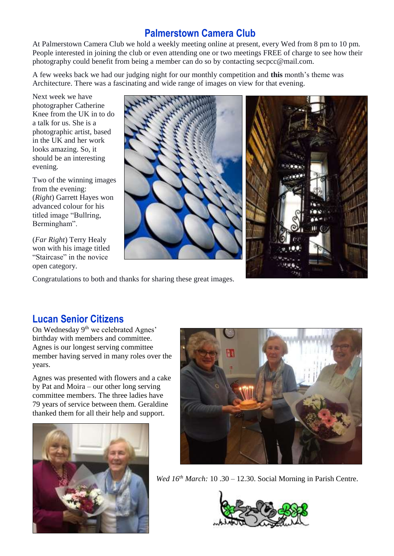# **Palmerstown Camera Club**

At Palmerstown Camera Club we hold a weekly meeting online at present, every Wed from 8 pm to 10 pm. People interested in joining the club or even attending one or two meetings FREE of charge to see how their photography could benefit from being a member can do so by contacting secpcc@mail.com.

A few weeks back we had our judging night for our monthly competition and **this** month's theme was Architecture. There was a fascinating and wide range of images on view for that evening.

Next week we have photographer Catherine Knee from the UK in to do a talk for us. She is a photographic artist, based in the UK and her work looks amazing. So, it should be an interesting evening.

Two of the winning images from the evening: (*Right*) Garrett Hayes won advanced colour for his titled image "Bullring, Bermingham".

(*Far Right*) Terry Healy won with his image titled "Staircase" in the novice open category.





Congratulations to both and thanks for sharing these great images.

# **Lucan Senior Citizens**

On Wednesday 9<sup>th</sup> we celebrated Agnes' birthday with members and committee. Agnes is our longest serving committee member having served in many roles over the years.

Agnes was presented with flowers and a cake by Pat and Moira – our other long serving committee members. The three ladies have 79 years of service between them. Geraldine thanked them for all their help and support.





*Wed 16th March:* 10 .30 – 12.30. Social Morning in Parish Centre.

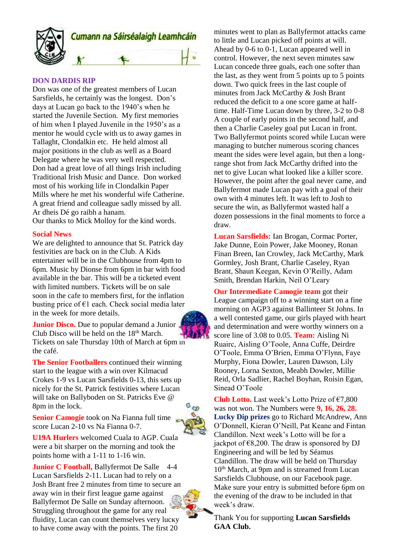

#### **DON DARDIS RIP**

Don was one of the greatest members of Lucan Sarsfields, he certainly was the longest. Don's days at Lucan go back to the 1940's when he started the Juvenile Section. My first memories of him when I played Juvenile in the 1950's as a mentor he would cycle with us to away games in Tallaght, Clondalkin etc. He held almost all major positions in the club as well as a Board Delegate where he was very well respected. Don had a great love of all things Irish including Traditional Irish Music and Dance. Don worked most of his working life in Clondalkin Paper Mills where he met his wonderful wife Catherine. A great friend and colleague sadly missed by all. Ar dheis Dé go raibh a hanam.

Our thanks to Mick Molloy for the kind words.

#### **Social News**

We are delighted to announce that St. Patrick day festivities are back on in the Club. A Kids entertainer will be in the Clubhouse from 4pm to 6pm. Music by Dionse from 6pm in bar with food available in the bar. This will be a ticketed event with limited numbers. Tickets will be on sale soon in the cafe to members first, for the inflation busting price of  $\epsilon$ 1 each. Check social media later in the week for more details.

**Junior Disco.** Due to popular demand a Junior Club Disco will be held on the 18th March. Tickets on sale Thursday 10th of March at 6pm in the café.

**The Senior Footballers** continued their winning start to the league with a win over Kilmacud Crokes 1-9 vs Lucan Sarsfields 0-13, this sets up nicely for the St. Patrick festivities where Lucan will take on Ballyboden on St. Patricks Eve @ 8pm in the lock.

**Senior Camogie** took on Na Fianna full time score Lucan 2-10 vs Na Fianna 0-7.

**U19A Hurlers** welcomed Cuala to AGP. Cuala were a bit sharper on the morning and took the points home with a 1-11 to 1-16 win.

**Junior C Football, Ballyfermot De Salle 4-4** Lucan Sarsfields 2-11. Lucan had to rely on a Josh Brant free 2 minutes from time to secure an away win in their first league game against Ballyfermot De Salle on Sunday afternoon. Struggling throughout the game for any real fluidity, Lucan can count themselves very lucky to have come away with the points. The first 20



minutes went to plan as Ballyfermot attacks came to little and Lucan picked off points at will. Ahead by 0-6 to 0-1, Lucan appeared well in control. However, the next seven minutes saw Lucan concede three goals, each one softer than the last, as they went from 5 points up to 5 points down. Two quick frees in the last couple of minutes from Jack McCarthy & Josh Brant reduced the deficit to a one score game at halftime. Half-Time Lucan down by three, 3-2 to 0-8 A couple of early points in the second half, and then a Charlie Caseley goal put Lucan in front. Two Ballyfermot points scored while Lucan were managing to butcher numerous scoring chances meant the sides were level again, but then a longrange shot from Jack McCarthy drifted into the net to give Lucan what looked like a killer score. However, the point after the goal never came, and Ballyfermot made Lucan pay with a goal of their own with 4 minutes left. It was left to Josh to secure the win, as Ballyfermot wasted half a dozen possessions in the final moments to force a draw.

**Lucan Sarsfields:** Ian Brogan, Cormac Porter, Jake Dunne, Eoin Power, Jake Mooney, Ronan Finan Breen, Ian Crowley, Jack McCarthy, Mark Gormley, Josh Brant, Charlie Caseley, Ryan Brant, Shaun Keegan, Kevin O'Reilly, Adam Smith, Brendan Harkin, Neil O'Leary

**Our Intermediate Camogie team** got their League campaign off to a winning start on a fine morning on AGP3 against Ballinteer St Johns. In a well contested game, our girls played with heart and determination and were worthy winners on a score line of 3.08 to 0.05. **Team:** Aisling Ni Ruairc, Aisling O'Toole, Anna Cuffe, Deirdre O'Toole, Emma O'Brien, Emma O'Flynn, Faye Murphy, Fiona Dowler, Lauren Dawson, Lily Rooney, Lorna Sexton, Meabh Dowler, Millie Reid, Orla Sadlier, Rachel Boyhan, Roisin Egan, Sinead O'Toole

**Club Lotto.** Last week's Lotto Prize of €7,800 was not won. The Numbers were **9, 16, 26, 28. Lucky Dip prizes** go to Richard McAndrew, Ann O'Donnell, Kieran O'Neill, Pat Keane and Fintan Clandillon. Next week's Lotto will be for a jackpot of  $\epsilon$ 8,200. The draw is sponsored by DJ Engineering and will be led by Séamus Clandillon. The draw will be held on Thursday 10<sup>th</sup> March, at 9pm and is streamed from Lucan Sarsfields Clubhouse, on our Facebook page. Make sure your entry is submitted before 6pm on the evening of the draw to be included in that week's draw.

Thank You for supporting **Lucan Sarsfields GAA Club.**

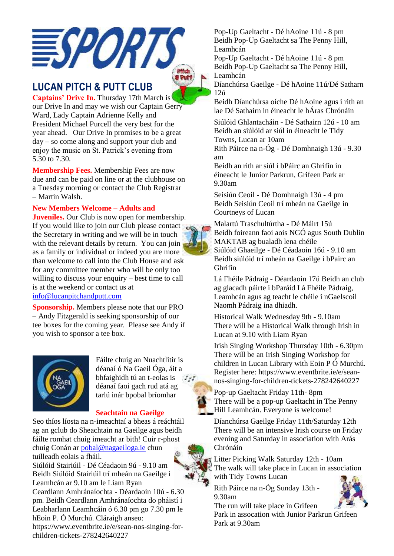

# **LUCAN PITCH & PUTT CLUB**

**Captains' Drive In.** Thursday 17th March is our Drive In and may we wish our Captain Gerry Ward, Lady Captain Adrienne Kelly and President Michael Purcell the very best for the year ahead. Our Drive In promises to be a great day – so come along and support your club and enjoy the music on St. Patrick's evening from 5.30 to 7.30.

**Membership Fees.** Membership Fees are now due and can be paid on line or at the clubhouse on a Tuesday morning or contact the Club Registrar – Martin Walsh.

### **New Members Welcome – Adults and**

**Juveniles.** Our Club is now open for membership. If you would like to join our Club please contact the Secretary in writing and we will be in touch with the relevant details by return. You can join as a family or individual or indeed you are more than welcome to call into the Club House and ask for any committee member who will be only too willing to discuss your enquiry – best time to call is at the weekend or contact us at [info@lucanpitchandputt.com](mailto:info@lucanpitchandputt.com)

**Sponsorship.** Members please note that our PRO – Andy Fitzgerald is seeking sponsorship of our tee boxes for the coming year. Please see Andy if you wish to sponsor a tee box.



Fáilte chuig an Nuachtlitir is déanaí ó Na Gaeil Óga, áit a bhfaighidh tú an t-eolas is  $5 - 1$ déanaí faoi gach rud atá ag tarlú inár bpobal bríomhar

### **Seachtain na Gaeilge**

Seo thíos líosta na n-imeachtaí a bheas á reáchtáil ag an gclub do Sheachtain na Gaeilge agus beidh fáilte romhat chuig imeacht ar bith! Cuir r-phost chuig Conán ar [pobal@nagaeiloga.ie](https://urldefense.com/v3/__https:/shoutout.wix.com/so/bfNz5EuRb/c?w=g7GmiePjrRaXuK34yGDAM27WJO-W6Yz1MoGUsfVA1JQ.eyJ1IjoibWFpbHRvOnBvYmFsQG5hZ2FlaWxvZ2EuaWUiLCJyIjoiMzVlYjQ5M2MtZDA1Zi00ZDU1LWIwNzMtZmYwYzNlNzM5YzE1IiwibSI6Im1haWwiLCJjIjoiNDAxMDNkYzctNjE3Ni00ZmEzLWI2NzgtZTUyYzRmOTNhM2M0In0__;!!KV6Wb-o!oknPrr5IKDrjd0cEDf54XJy3_mVWf8zJYHXWz1VK5zE7B4fUQed7Ugy3jkq_auUL$) chun tuilleadh eolais a fháil. Siúlóid Stairiúil - Dé Céadaoin 9ú - 9.10 am Beidh Siúlóid Stairiúil trí mheán na Gaeilge i Leamhcán ar 9.10 am le Liam Ryan Ceardlann Amhránaíochta - Déardaoin 10ú - 6.30 pm. Beidh Ceardlann Amhránaíochta do pháistí i Leabharlann Leamhcáin ó 6.30 pm go 7.30 pm le hEoin P. Ó Murchú. Cláraigh anseo: [https://www.eventbrite.ie/e/sean-nos-singing-for](https://urldefense.com/v3/__https:/shoutout.wix.com/so/bfNz5EuRb/c?w=pfitrriI6WIcGbcOeZgJ74a5q0oOHiKyd5_2Bz3H3ro.eyJ1IjoiaHR0cHM6Ly93d3cuZXZlbnRicml0ZS5pZS9lL3NlYW4tbm9zLXNpbmdpbmctZm9yLWNoaWxkcmVuLXRpY2tldHMtMjc4MjQyNjQwMjI3IiwiciI6IjM1ZWI0OTNjLWQwNWYtNGQ1NS1iMDczLWZmMGMzZTczOWMxNSIsIm0iOiJtYWlsIiwiYyI6IjQwMTAzZGM3LTYxNzYtNGZhMy1iNjc4LWU1MmM0ZjkzYTNjNCJ9__;!!KV6Wb-o!oknPrr5IKDrjd0cEDf54XJy3_mVWf8zJYHXWz1VK5zE7B4fUQed7Ugy3jkOI8H1c$)[children-tickets-278242640227](https://urldefense.com/v3/__https:/shoutout.wix.com/so/bfNz5EuRb/c?w=pfitrriI6WIcGbcOeZgJ74a5q0oOHiKyd5_2Bz3H3ro.eyJ1IjoiaHR0cHM6Ly93d3cuZXZlbnRicml0ZS5pZS9lL3NlYW4tbm9zLXNpbmdpbmctZm9yLWNoaWxkcmVuLXRpY2tldHMtMjc4MjQyNjQwMjI3IiwiciI6IjM1ZWI0OTNjLWQwNWYtNGQ1NS1iMDczLWZmMGMzZTczOWMxNSIsIm0iOiJtYWlsIiwiYyI6IjQwMTAzZGM3LTYxNzYtNGZhMy1iNjc4LWU1MmM0ZjkzYTNjNCJ9__;!!KV6Wb-o!oknPrr5IKDrjd0cEDf54XJy3_mVWf8zJYHXWz1VK5zE7B4fUQed7Ugy3jkOI8H1c$) 

Pop-Up Gaeltacht - Dé hAoine 11ú - 8 pm Beidh Pop-Up Gaeltacht sa The Penny Hill, Leamhcán

Pop-Up Gaeltacht - Dé hAoine 11ú - 8 pm Beidh Pop-Up Gaeltacht sa The Penny Hill, Leamhcán

Díanchúrsa Gaeilge - Dé hAoine 11ú/Dé Satharn 12ú

Beidh Díanchúrsa oíche Dé hAoine agus i rith an lae Dé Sathairn in éineacht le hÁras Chrónáin

Siúlóid Ghlantacháin - Dé Sathairn 12ú - 10 am Beidh an siúlóid ar siúl in éineacht le Tidy Towns, Lucan ar 10am

Rith Páirce na n-Óg - Dé Domhnaigh 13ú - 9.30 am

Beidh an rith ar siúl i bPáirc an Ghrifín in éineacht le Junior Parkrun, Grifeen Park ar 9.30am

Seisiún Ceoil - Dé Domhnaigh 13ú - 4 pm Beidh Seisiún Ceoil trí mheán na Gaeilge in Courtneys of Lucan

Malartú Traschultúrtha - Dé Máirt 15ú Beidh foireann faoi aois NGÓ agus South Dublin MAKTAB ag bualadh lena chéile Siúlóid Ghaeilge - Dé Céadaoin 16ú - 9.10 am Beidh siúlóid trí mheán na Gaeilge i bPairc an Ghrifín

Lá Fhéile Pádraig - Déardaoin 17ú Beidh an club ag glacadh páirte i bParáid Lá Fhéile Pádraig, Leamhcán agus ag teacht le chéile i nGaelscoil Naomh Pádraig ina dhiadh.

Historical Walk Wednesday 9th - 9.10am There will be a Historical Walk through Irish in Lucan at 9.10 with Liam Ryan

Irish Singing Workshop Thursday 10th - 6.30pm There will be an Irish Singing Workshop for children in Lucan Library with Eoin P Ó Murchú. Register here[: https://www.eventbrite.ie/e/sean](https://urldefense.com/v3/__https:/shoutout.wix.com/so/bfNz5EuRb/c?w=pfitrriI6WIcGbcOeZgJ74a5q0oOHiKyd5_2Bz3H3ro.eyJ1IjoiaHR0cHM6Ly93d3cuZXZlbnRicml0ZS5pZS9lL3NlYW4tbm9zLXNpbmdpbmctZm9yLWNoaWxkcmVuLXRpY2tldHMtMjc4MjQyNjQwMjI3IiwiciI6IjM1ZWI0OTNjLWQwNWYtNGQ1NS1iMDczLWZmMGMzZTczOWMxNSIsIm0iOiJtYWlsIiwiYyI6IjQwMTAzZGM3LTYxNzYtNGZhMy1iNjc4LWU1MmM0ZjkzYTNjNCJ9__;!!KV6Wb-o!oknPrr5IKDrjd0cEDf54XJy3_mVWf8zJYHXWz1VK5zE7B4fUQed7Ugy3jkOI8H1c$)[nos-singing-for-children-tickets-278242640227](https://urldefense.com/v3/__https:/shoutout.wix.com/so/bfNz5EuRb/c?w=pfitrriI6WIcGbcOeZgJ74a5q0oOHiKyd5_2Bz3H3ro.eyJ1IjoiaHR0cHM6Ly93d3cuZXZlbnRicml0ZS5pZS9lL3NlYW4tbm9zLXNpbmdpbmctZm9yLWNoaWxkcmVuLXRpY2tldHMtMjc4MjQyNjQwMjI3IiwiciI6IjM1ZWI0OTNjLWQwNWYtNGQ1NS1iMDczLWZmMGMzZTczOWMxNSIsIm0iOiJtYWlsIiwiYyI6IjQwMTAzZGM3LTYxNzYtNGZhMy1iNjc4LWU1MmM0ZjkzYTNjNCJ9__;!!KV6Wb-o!oknPrr5IKDrjd0cEDf54XJy3_mVWf8zJYHXWz1VK5zE7B4fUQed7Ugy3jkOI8H1c$) 

Pop-up Gaeltacht Friday 11th- 8pm There will be a pop-up Gaeltacht in The Penny Hill Leamhcán. Everyone is welcome!

Díanchúrsa Gaeilge Friday 11th/Saturday 12th There will be an intensive Irish course on Friday evening and Saturday in association with Arás Chrónáin

Litter Picking Walk Saturday 12th - 10am The walk will take place in Lucan in association with Tidy Towns Lucan

Rith Páirce na n-Óg Sunday 13th - 9.30am



The run will take place in Grifeen Park in assocation with Junior Parkrun Grifeen Park at 9.30am

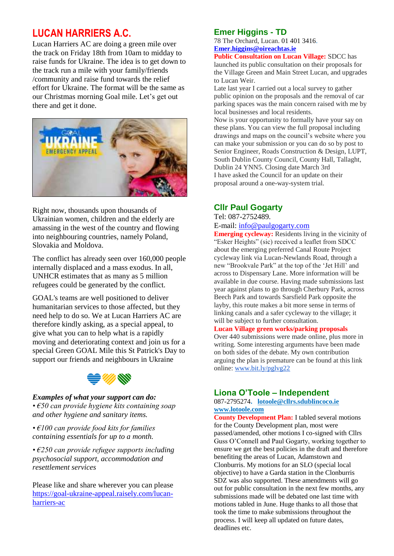# **LUCAN HARRIERS A.C.**

Lucan Harriers AC are doing a green mile over the track on Friday 18th from 10am to midday to raise funds for Ukraine. The idea is to get down to the track run a mile with your family/friends /community and raise fund towards the relief effort for Ukraine. The format will be the same as our Christmas morning Goal mile. Let's get out there and get it done.



Right now, thousands upon thousands of Ukrainian women, children and the elderly are amassing in the west of the country and flowing into neighbouring countries, namely Poland, Slovakia and Moldova.

The conflict has already seen over 160,000 people internally displaced and a mass exodus. In all, UNHCR estimates that as many as 5 million refugees could be generated by the conflict.

GOAL's teams are well positioned to deliver humanitarian services to those affected, but they need help to do so. We at Lucan Harriers AC are therefore kindly asking, as a special appeal, to give what you can to help what is a rapidly moving and deteriorating context and join us for a special Green GOAL Mile this St Patrick's Day to support our friends and neighbours in Ukraine



# *Examples of what your support can do:*

*• €50 can provide hygiene kits containing soap and other hygiene and sanitary items.*

*• €100 can provide food kits for families containing essentials for up to a month.*

*• €250 can provide refugee supports including psychosocial support, accommodation and resettlement services*

Please like and share wherever you can please [https://goal-ukraine-appeal.raisely.com/lucan](https://goal-ukraine-appeal.raisely.com/lucan-harriers-ac)[harriers-ac](https://goal-ukraine-appeal.raisely.com/lucan-harriers-ac)

### **Emer Higgins - TD**

78 The Orchard, Lucan[. 01 401 3416.](tel:014013416) **[Emer.higgins@oireachtas.ie](mailto:Emer.higgins@oireachtas.ie)**

**Public Consultation on Lucan Village:** SDCC has launched its public consultation on their proposals for the Village Green and Main Street Lucan, and upgrades to Lucan Weir.

Late last year I carried out a local survey to gather public opinion on the proposals and the removal of car parking spaces was the main concern raised with me by local businesses and local residents.

Now is your opportunity to formally have your say on these plans. You can view the full proposal including drawings and maps on the council's website where you can make your submission or you can do so by post to Senior Engineer, Roads Construction & Design, LUPT, South Dublin County Council, County Hall, Tallaght, Dublin 24 YNN5. Closing date March 3rd I have asked the Council for an update on their proposal around a one-way-system trial.

### **Cllr Paul Gogarty**

Tel: 087-2752489.

E-mail[: info@paulgogarty.com](mailto:info@paulgogarty.com)

**Emerging cycleway:** Residents living in the vicinity of "Esker Heights" (sic) received a leaflet from SDCC about the emerging preferred Canal Route Project cycleway link via Lucan-Newlands Road, through a new "Brookvale Park" at the top of the 'Jet Hill' and across to Dispensary Lane. More information will be available in due course. Having made submissions last year against plans to go through Cherbury Park, across Beech Park and towards Sarsfield Park opposite the layby, this route makes a bit more sense in terms of linking canals and a safer cycleway to the village; it will be subject to further consultation.

### **Lucan Village green works/parking proposals**

Over 440 submissions were made online, plus more in writing. Some interesting arguments have been made on both sides of the debate. My own contribution arguing the plan is premature can be found at this link online: [www.bit.ly/pglvg22](http://www.bit.ly/pglvg22)

### **Liona O'Toole – Independent**

087-2795274**. [lotoole@cllrs.sdublincoco.ie](mailto:lotoole@cllrs.sdublincoco.ie) [www.lotoole.com](http://www.lotoole.com/)**

**County Development Plan:** I tabled several motions for the County Development plan, most were passed/amended, other motions I co-signed with Cllrs Guss O'Connell and Paul Gogarty, working together to ensure we get the best policies in the draft and therefore benefiting the areas of Lucan, Adamstown and Clonburris. My motions for an SLO (special local objective) to have a Garda station in the Clonburris SDZ was also supported. These amendments will go out for public consultation in the next few months, any submissions made will be debated one last time with motions tabled in June. Huge thanks to all those that took the time to make submissions throughout the process. I will keep all updated on future dates, deadlines etc.